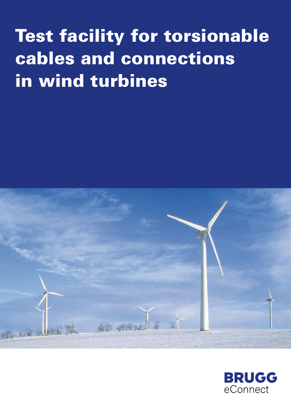# Test facility for torsionable cables and connections in wind turbines



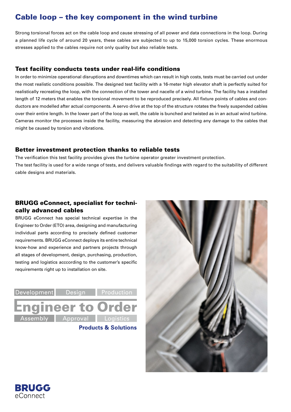# Cable loop – the key component in the wind turbine

Strong torsional forces act on the cable loop and cause stressing of all power and data connections in the loop. During a planned life cycle of around 20 years, these cables are subjected to up to 15,000 torsion cycles. These enormous stresses applied to the cables require not only quality but also reliable tests.

## Test facility conducts tests under real-life conditions

In order to minimize operational disruptions and downtimes which can result in high costs, tests must be carried out under the most realistic conditions possible. The designed test facility with a 16-meter high elevator shaft is perfectly suited for realistically recreating the loop, with the connection of the tower and nacelle of a wind turbine. The facility has a installed length of 12 meters that enables the torsional movement to be reproduced precisely. All fixture points of cables and conductors are modelled after actual components. A servo drive at the top of the structure rotates the freely suspended cables over their entire length. In the lower part of the loop as well, the cable is bunched and twisted as in an actual wind turbine. Cameras monitor the processes inside the facility, measuring the abrasion and detecting any damage to the cables that might be caused by torsion and vibrations.

## Better investment protection thanks to reliable tests

The verification this test facility provides gives the turbine operator greater investment protection. The test facility is used for a wide range of tests, and delivers valuable findings with regard to the suitability of different cable designs and materials.

# BRUGG eConnect, specialist for technically advanced cables

BRUGG eConnect has special technical expertise in the Engineer to Order (ETO) area, designing and manufacturing individual parts according to precisely defined customer requirements. BRUGG eConnect deploys its entire technical know-how and experience and partners projects through all stages of development, design, purchasing, production, testing and logistics acccording to the customer's specific requirements right up to installation on site.





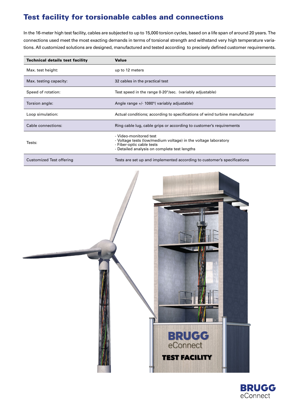# Test facility for torsionable cables and connections

In the 16-meter high test facility, cables are subjected to up to 15,000 torsion cycles, based on a life span of around 20 years. The connections used meet the most exacting demands in terms of torsional strength and withstand very high temperature variations. All customized solutions are designed, manufactured and tested according to precisely defined customer requirements.

| <b>Technical details test facility</b> | <b>Value</b>                                                                                                                                                          |
|----------------------------------------|-----------------------------------------------------------------------------------------------------------------------------------------------------------------------|
| Max. test height:                      | up to 12 meters                                                                                                                                                       |
| Max. testing capacity:                 | 32 cables in the practical test                                                                                                                                       |
| Speed of rotation:                     | Test speed in the range 0-20°/sec. (variably adjustable)                                                                                                              |
| Torsion angle:                         | Angle range +/- 1080° (variably adjustable)                                                                                                                           |
| Loop simulation:                       | Actual conditions; according to specifications of wind turbine manufacturer                                                                                           |
| Cable connections:                     | Ring cable lug, cable grips or according to customer's requirements                                                                                                   |
| Tests:                                 | - Video-monitored test<br>- Voltage tests (low/medium voltage) in the voltage laboratory<br>- Fiber-optic cable tests<br>- Detailed analysis on complete test lengths |
| Customized Test offering               | Tests are set up and implemented according to customer's specifications                                                                                               |